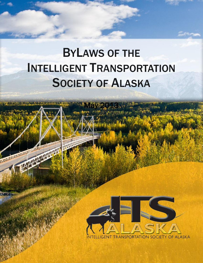# BYLAWS OF THE INTELLIGENT TRANSPORTATION SOCIETY OF ALASKA

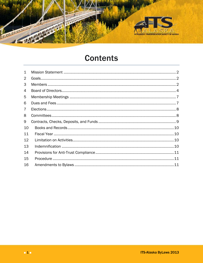

## **Contents**

| 1              |  |
|----------------|--|
| 2              |  |
| 3              |  |
| 4              |  |
| 5              |  |
| 6              |  |
| $\overline{7}$ |  |
| 8              |  |
| 9              |  |
| 10             |  |
| 11             |  |
| 12             |  |
| 13             |  |
| 14             |  |
| 15             |  |
| 16             |  |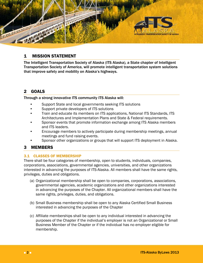

## <span id="page-2-0"></span>1 MISSION STATEMENT

The Intelligent Transportation Society of Alaska (ITS Alaska), a State chapter of Intelligent Transportation Society of America, will promote intelligent transportation system solutions that improve safety and mobility on Alaska's highways.

## <span id="page-2-1"></span>2 GOALS

Through a strong innovative ITS community ITS Alaska will:

- Support State and local governments seeking ITS solutions
- Support private developers of ITS solutions
- Train and educate its members on ITS applications, National ITS Standards, ITS Architectures and Implementation Plans and State & Federal requirements.
- Sponsor events that promote information exchange among ITS Alaska members and ITS leaders.
- Encourage members to actively participate during membership meetings, annual meetings and fund raising events.
- Sponsor other organizations or groups that will support ITS deployment in Alaska.

## <span id="page-2-2"></span>3 MEMBERS

#### 3.1 CLASSES OF MEMBERSHIP

There shall be four categories of membership, open to students, individuals, companies, corporations, associations, governmental agencies, universities, and other organizations interested in advancing the purposes of ITS-Alaska. All members shall have the same rights, privileges, duties and obligations.

- (a) Organizational membership shall be open to companies, corporations, associations, governmental agencies, academic organizations and other organizations interested in advancing the purposes of the Chapter. All organizational members shall have the same rights, privileges, duties, and obligations.
- (b) Small Business membership shall be open to any Alaska Certified Small Business interested in advancing the purposes of the Chapter
- (c) Affiliate memberships shall be open to any individual interested in advancing the purposes of the Chapter if the individual's employer is not an Organizational or Small Business Member of the Chapter or if the individual has no employer eligible for membership.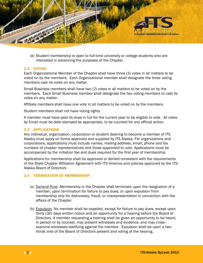

(d) Student membership is open to full-time university or college students who are interested in advancing the purposes of the Chapter.

#### 3.2 VOTING

Each Organizational Member of the Chapter shall have three (3) votes in all matters to be voted on by the members. Each Organizational member shall designate the three voting members cast its votes on any matter.

Small Business members shall have two (2) votes in all matters to be voted on by the members. Each Small Business member shall designate the two voting members to cast its votes on any matter.

Affiliate members shall have one vote in all matters to be voted on by the members.

Student members shall not have voting rights.

A member must have paid its dues in full for the current year to be eligible to vote. All votes by Email must be date stamped as appropriate, to be counted for any official action.

#### 3.3 APPLICATIONS

Any individual, organization, corporation or student desiring to become a member of ITS Alaska must apply on forms approved and supplied by ITS Alaska. For organizations and corporations, applications must include names, mailing address, email, phone and fax numbers of chapter representatives and those appointed to vote. Applications must be accompanied by the initiation fee and dues required for the first year of membership.

Applications for membership shall be approved or denied consistent with the requirements of the State Chapter Affiliation Agreement with ITS America and policies approved by the ITS-Alaska Board of Directors

#### 3.4 TERMINATION OF MEMBERSHIP.

- (a) General Rule. Membership in the Chapter shall terminate upon the resignation of a member; upon termination for failure to pay dues; or upon expulsion from membership only for dishonesty, fraud, or misrepresentation in connection with the affairs of the Chapter.
- (b) Expulsion. No member shall be expelled, except for failure to pay dues, except upon thirty (30) days written notice and an opportunity for a hearing before the Board of Directors. A member requesting a hearing shall be given an opportunity to be heard, in person or by counsel, may present witnesses and evidence, and may cross– examine witnesses testifying against the member. Expulsion shall be upon a twothirds vote of the Board of Directors present and voting at the hearing.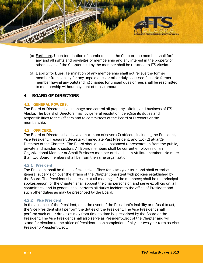

- (c) Forfeiture. Upon termination of membership in the Chapter, the member shall forfeit any and all rights and privileges of membership and any interest in the property or other assets of the Chapter held by the member shall be returned to ITS-Alaska.
- (d) Liability for Dues. Termination of any membership shall not relieve the former member from liability for any unpaid dues or other duly assessed fees. No former member having any outstanding charges for unpaid dues or fees shall be readmitted to membership without payment of those amounts.

## <span id="page-4-0"></span>4 BOARD OF DIRECTORS

#### 4.1 GENERAL POWERS.

The Board of Directors shall manage and control all property, affairs, and business of ITS Alaska. The Board of Directors may, by general resolution, delegate its duties and responsibilities to the Officers and to committees of the Board of Directors or the membership.

#### 4.2 OFFICERS.

The Board of Directors shall have a maximum of seven (7) officers, including the President, Vice President, Treasurer, Secretary, Immediate Past President, and two (2) at-large Directors of the Chapter. The Board should have a balanced representation from the public, private and academic sectors. All Board members shall be current employees of an Organizational Member or Small Business member or shall be an Affiliate member. No more than two Board members shall be from the same organization.

#### 4.2.1 President

The President shall be the chief executive officer for a two year term and shall exercise general supervision over the affairs of the Chapter consistent with policies established by the Board. The President shall preside at all meetings of the members; shall be the principal spokesperson for the Chapter; shall appoint the chairpersons of, and serve ex officio on, all committees, and in general shall perform all duties incident to the office of President and such other duties as may be prescribed by the Board.

#### 4.2.2 Vice President

In the absence of the President, or in the event of the President's inability or refusal to act, the Vice President shall perform the duties of the President. The Vice President shall perform such other duties as may from time to time be prescribed by the Board or the President. The Vice President shall also serve as President-Elect of the Chapter and will stand for election to the office of President upon completion of his/her two-year term as Vice President/President-Elect.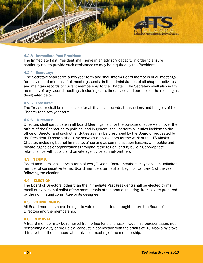

#### 4.2.3 Immediate Past President:

The Immediate Past President shall serve in an advisory capacity in order to ensure continuity and to provide such assistance as may be required by the President.

#### 4.2.4 Secretary:

The Secretary shall serve a two-year term and shall inform Board members of all meetings, formally record minutes of all meetings, assist in the administration of all chapter activities and maintain records of current membership to the Chapter. The Secretary shall also notify members of any special meetings, including date, time, place and purpose of the meeting as designated below.

#### 4.2.5 Treasurer:

The Treasurer shall be responsible for all financial records, transactions and budgets of the Chapter for a two-year term.

#### 4.2.6 Directors:

Directors shall participate in all Board Meetings held for the purpose of supervision over the affairs of the Chapter or its policies, and in general shall perform all duties incident to the office of Director and such other duties as may be prescribed by the Board or requested by the President. Directors shall also serve as ambassadors for the work of the ITS Alaska Chapter, including but not limited to: a) serving as communication liaisons with public and private agencies or organizations throughout the region; and b) building appropriate relationships with public and private agency personnel/partners

#### 4.3 TERMS.

Board members shall serve a term of two (2) years. Board members may serve an unlimited number of consecutive terms. Board members terms shall begin on January 1 of the year following the election.

#### 4.4 ELECTION

The Board of Directors (other than the Immediate Past President) shall be elected by mail, email or by personal ballot of the membership at the annual meeting, from a slate prepared by the nominating committee or its designee.

#### 4.5 VOTING RIGHTS.

All Board members have the right to vote on all matters brought before the Board of Directors and the membership.

#### 4.6 REMOVAL.

A Board member may be removed from office for dishonesty, fraud, misrepresentation, not performing a duty or prejudicial conduct in connection with the affairs of ITS Alaska by a twothirds vote of the members at a duly held meeting of the membership.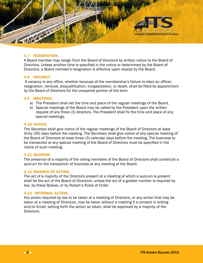

#### 4.7 RESIGNATION.

A Board member may resign from the Board of Directors by written notice to the Board of Directors. Unless another time is specified in the notice or determined by the Board of Directors, a Board member's resignation is effective upon receipt by the Board.

#### 4.8 VACANCY.

A vacancy in any office, whether because of the membership's failure to elect an officer, resignation, removal, disqualification, incapacitation, or death, shall be filled by appointment by the Board of Directors for the unexpired portion of the term.

#### 4.9 MEETINGS.

- a) The President shall set the time and place of the regular meetings of the Board.
- b) Special meetings of the Board may be called by the President upon the written request of any three (3) directors. The President shall fix the time and place of any special meetings.

#### 4.10 NOTICE.

The Secretary shall give notice of the regular meetings of the Board of Directors at least thirty (30) days before the meeting. The Secretary shall give notice of any special meeting of the Board of Directors at least three (3) calendar days before the meeting. The business to be transacted at any special meeting of the Board of Directors must be specified in the notice of such meeting.

#### 4.11 QUORUM.

The presence of a majority of the voting members of the Board of Directors shall constitute a quorum for the transaction of business at any meeting of the Board.

#### 4.12 MANNER OF ACTING.

The act of a majority of the Directors present at a meeting at which a quorum is present shall be the act of the Board of Directors, unless the act of a greater number is required by law, by these Bylaws, or by Robert's Rules of Order.

#### 4.13 INFORMAL ACTION.

Any action required by law to be taken at a meeting of Directors, or any action that may be taken at a meeting of Directors, may be taken without a meeting if a consent in writing and/or Email, setting forth the action so taken, shall be approved by a majority of the Directors.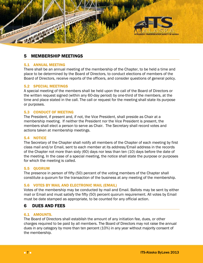

## <span id="page-7-0"></span>5 MEMBERSHIP MEETINGS

#### 5.1 ANNUAL MEETING

There shall be an annual meeting of the membership of the Chapter, to be held a time and place to be determined by the Board of Directors, to conduct elections of members of the Board of Directors, receive reports of the officers, and consider questions of general policy.

#### 5.2 SPECIAL MEETINGS

A special meeting of the members shall be held upon the call of the Board of Directors or the written request signed (within any 60-day period) by one-third of the members, at the time and place stated in the call. The call or request for the meeting shall state its purpose or purposes.

#### 5.3 CONDUCT OF MEETING

The President, if present and, if not, the Vice President, shall preside as Chair at a membership meeting. If neither the President nor the Vice President is present, the members shall elect a person to serve as Chair. The Secretary shall record votes and actions taken at membership meetings.

#### 5.4 NOTICE

The Secretary of the Chapter shall notify all members of the Chapter of each meeting by first class mail and/or Email, sent to each member at its address/Email address in the records of the Chapter not more than sixty (60) days nor less than ten (10) days before the date of the meeting. In the case of a special meeting, the notice shall state the purpose or purposes for which the meeting is called.

#### 5.5 QUORUM

The presence in person of fifty (50) percent of the voting members of the Chapter shall constitute a quorum for the transaction of the business at any meeting of the membership.

#### 5.6 VOTES BY MAIL AND ELECTRONIC MAIL (EMAIL)

Votes of the membership may be conducted by mail and Email. Ballots may be sent by either mail or Email and must satisfy the fifty (50) percent quorum requirement. All votes by Email must be date stamped as appropriate, to be counted for any official action.

## <span id="page-7-1"></span>6 DUES AND FEES

#### 6.1 AMOUNTS.

The Board of Directors shall establish the amount of any initiation fee, dues, or other charges required to be paid by all members. The Board of Directors may not raise the annual dues in any category by more than ten percent (10%) in any year without majority consent of the membership.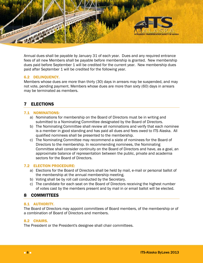

Annual dues shall be payable by January 31 of each year. Dues and any required entrance fees of all new Members shall be payable before membership is granted. New membership dues paid before September 1 will be credited for the current year. New membership dues paid after September 1 will be credited for the following year.

#### 6.2 DELINQUENCY.

Members whose dues are more than thirty (30) days in arrears may be suspended, and may not vote, pending payment. Members whose dues are more than sixty (60) days in arrears may be terminated as members.

## <span id="page-8-0"></span>7 ELECTIONS

#### 7.1 NOMINATIONS:

- a) Nominations for membership on the Board of Directors must be in writing and submitted to a Nominating Committee designated by the Board of Directors.
- b) The Nominating Committee shall review all nominations and verify that each nominee is a member in good standing and has paid all dues and fees owed to ITS Alaska. All qualified nominees shall be presented to the membership.
- c) The Nominating Committee may recommend a slate of nominees for the Board of Directors to the membership. In recommending nominees, the Nominating Committee shall consider continuity on the Board of Directors and have, as a goal, an approximate balance of representation between the public, private and academia sectors for the Board of Directors.

#### 7.2 ELECTION PROCEDURE:

- a) Elections for the Board of Directors shall be held by mail, e-mail or personal ballot of the membership at the annual membership meeting.
- b) Voting shall be by roll call conducted by the Secretary.
- c) The candidate for each seat on the Board of Directors receiving the highest number of votes cast by the members present and by mail in or email ballot will be elected.

## <span id="page-8-1"></span>8 COMMITTEES

#### 8.1 AUTHORITY.

The Board of Directors may appoint committees of Board members, of the membership or of a combination of Board of Directors and members.

#### 8.2 CHAIRS.

The President or the President's designee shall chair committees.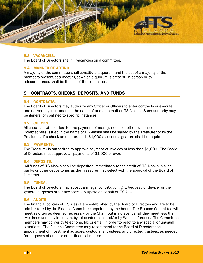

#### 8.3 VACANCIES.

The Board of Directors shall fill vacancies on a committee.

#### 8.4 MANNER OF ACTING.

A majority of the committee shall constitute a quorum and the act of a majority of the members present at a meeting at which a quorum is present, in person or by teleconference, shall be the act of the committee.

## <span id="page-9-0"></span>9 CONTRACTS, CHECKS, DEPOSITS, AND FUNDS

#### 9.1 CONTRACTS.

The Board of Directors may authorize any Officer or Officers to enter contracts or execute and deliver any instrument in the name of and on behalf of ITS Alaska. Such authority may be general or confined to specific instances.

#### 9.2 CHECKS.

All checks, drafts, orders for the payment of money, notes, or other evidences of indebtedness issued in the name of ITS Alaska shall be signed by the Treasurer or by the President. If a check amount exceeds \$1,000 a second signature shall be required.

#### 9.3 PAYMENTS.

The Treasurer is authorized to approve payment of invoices of less than \$1,000. The Board of Directors must approve all payments of \$1,000 or over.

#### 9.4 DEPOSITS.

All funds of ITS Alaska shall be deposited immediately to the credit of ITS Alaska in such banks or other depositories as the Treasurer may select with the approval of the Board of Directors.

#### 9.5 FUNDS.

The Board of Directors may accept any legal contribution, gift, bequest, or device for the general purposes or for any special purpose on behalf of ITS Alaska.

#### 9.6 AUDITS

The financial policies of ITS Alaska are established by the Board of Directors and are to be administered by the Finance Committee appointed by the board. The Finance Committee will meet as often as deemed necessary by the Chair, but in no event shall they meet less than two times annually in person, by teleconference, and/or by Web conference. The Committee members may confer by telephone, fax or email in order to react to any special or unusual situations. The Finance Committee may recommend to the Board of Directors the appointment of investment advisors, custodians, trustees, and directed trustees, as needed for purposes of audit or other financial matters.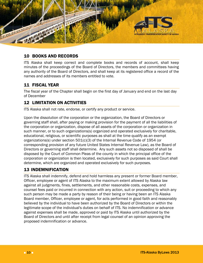

## <span id="page-10-0"></span>10 BOOKS AND RECORDS

ITS Alaska shall keep correct and complete books and records of account, shall keep minutes of the proceedings of the Board of Directors, the members and committees having any authority of the Board of Directors, and shall keep at its registered office a record of the names and addresses of its members entitled to vote.

## <span id="page-10-1"></span>11 FISCAL YEAR

The fiscal year of the Chapter shall begin on the first day of January and end on the last day of December

## <span id="page-10-2"></span>12 LIMITATION ON ACTIVITIES

ITS Alaska shall not rate, endorse, or certify any product or service.

Upon the dissolution of the corporation or the organization, the Board of Directors or governing staff shall, after paying or making provision for the payment of all the liabilities of the corporation or organization, dispose of all assets of the corporation or organization in such manner, or to such organizations(s) organized and operated exclusively for charitable, educational, religious, or scientific purposes as shall at the time qualify as an exempt organizations(s) under section  $501(c)(3)$  of the Internal Revenue Code of 1954 (or corresponding provision of any future United States Internal Revenue Law), as the Board of Directors or governing staff shall determine. Any such assets not so disposed of shall be disposed by the Court of Common Pleas of the county in which the principal office of the corporation or organization is then located, exclusively for such purposes as said Court shall determine, which are organized and operated exclusively for such purposes.

## <span id="page-10-3"></span>13 INDEMNIFICATION

ITS Alaska shall indemnify, defend and hold harmless any present or former Board member, Officer, employee or agent of ITS Alaska to the maximum extent allowed by Alaska law against all judgments, fines, settlements, and other reasonable costs, expenses, and counsel fees paid or incurred in connection with any action, suit or proceeding to which any such person may be made a party by reason of their being or having been an ITS Alaska Board member, Officer, employee or agent, for acts performed in good faith and reasonably believed by the individual to have been authorized by the Board of Directors or within the legitimate scope of the individual's duties on behalf of ITS. No indemnification or advance against expenses shall be made, approved or paid by ITS Alaska until authorized by the Board of Directors and until after receipt from legal counsel of an opinion approving the proposed indemnification or advance.